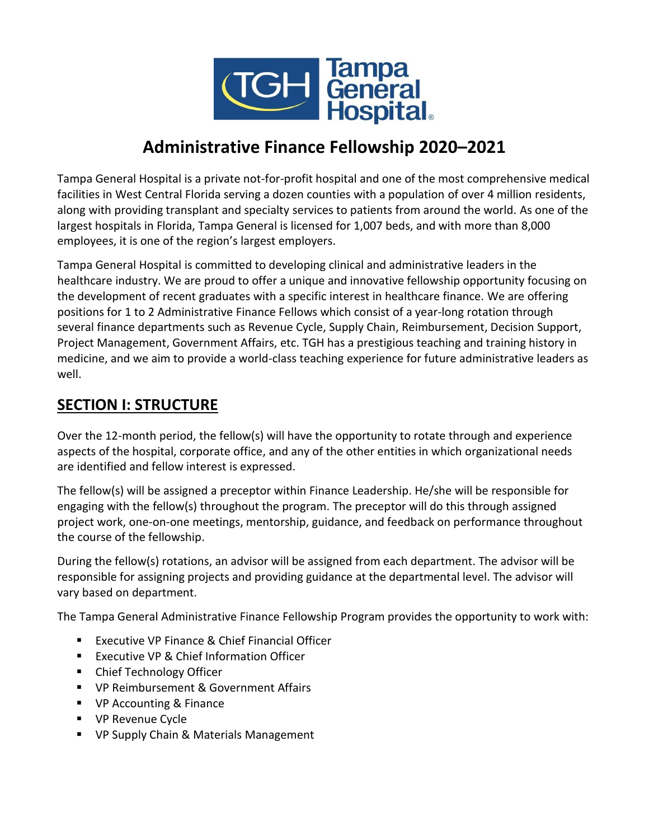

# **Administrative Finance Fellowship 2020–2021**

Tampa General Hospital is a private not-for-profit hospital and one of the most comprehensive medical facilities in West Central Florida serving a dozen counties with a population of over 4 million residents, along with providing transplant and specialty services to patients from around the world. As one of the largest hospitals in Florida, Tampa General is licensed for 1,007 beds, and with more than 8,000 employees, it is one of the region's largest employers.

Tampa General Hospital is committed to developing clinical and administrative leaders in the healthcare industry. We are proud to offer a unique and innovative fellowship opportunity focusing on the development of recent graduates with a specific interest in healthcare finance. We are offering positions for 1 to 2 Administrative Finance Fellows which consist of a year-long rotation through several finance departments such as Revenue Cycle, Supply Chain, Reimbursement, Decision Support, Project Management, Government Affairs, etc. TGH has a prestigious teaching and training history in medicine, and we aim to provide a world-class teaching experience for future administrative leaders as well.

# **SECTION I: STRUCTURE**

Over the 12-month period, the fellow(s) will have the opportunity to rotate through and experience aspects of the hospital, corporate office, and any of the other entities in which organizational needs are identified and fellow interest is expressed.

The fellow(s) will be assigned a preceptor within Finance Leadership. He/she will be responsible for engaging with the fellow(s) throughout the program. The preceptor will do this through assigned project work, one-on-one meetings, mentorship, guidance, and feedback on performance throughout the course of the fellowship.

During the fellow(s) rotations, an advisor will be assigned from each department. The advisor will be responsible for assigning projects and providing guidance at the departmental level. The advisor will vary based on department.

The Tampa General Administrative Finance Fellowship Program provides the opportunity to work with:

- Executive VP Finance & Chief Financial Officer
- Executive VP & Chief Information Officer
- Chief Technology Officer
- VP Reimbursement & Government Affairs
- VP Accounting & Finance
- VP Revenue Cycle
- VP Supply Chain & Materials Management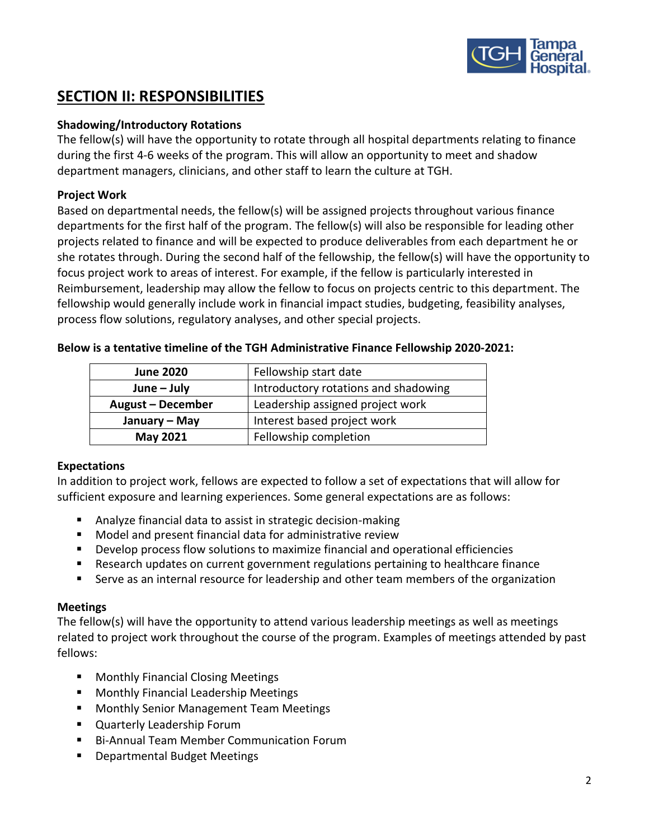

# **SECTION II: RESPONSIBILITIES**

#### **Shadowing/Introductory Rotations**

The fellow(s) will have the opportunity to rotate through all hospital departments relating to finance during the first 4-6 weeks of the program. This will allow an opportunity to meet and shadow department managers, clinicians, and other staff to learn the culture at TGH.

### **Project Work**

Based on departmental needs, the fellow(s) will be assigned projects throughout various finance departments for the first half of the program. The fellow(s) will also be responsible for leading other projects related to finance and will be expected to produce deliverables from each department he or she rotates through. During the second half of the fellowship, the fellow(s) will have the opportunity to focus project work to areas of interest. For example, if the fellow is particularly interested in Reimbursement, leadership may allow the fellow to focus on projects centric to this department. The fellowship would generally include work in financial impact studies, budgeting, feasibility analyses, process flow solutions, regulatory analyses, and other special projects.

| <b>June 2020</b>  | Fellowship start date                |
|-------------------|--------------------------------------|
| $June - July$     | Introductory rotations and shadowing |
| August - December | Leadership assigned project work     |
| January – May     | Interest based project work          |
| May 2021          | Fellowship completion                |

**Below is a tentative timeline of the TGH Administrative Finance Fellowship 2020-2021:**

#### **Expectations**

In addition to project work, fellows are expected to follow a set of expectations that will allow for sufficient exposure and learning experiences. Some general expectations are as follows:

- Analyze financial data to assist in strategic decision-making
- Model and present financial data for administrative review
- Develop process flow solutions to maximize financial and operational efficiencies
- Research updates on current government regulations pertaining to healthcare finance
- **EXECT** Serve as an internal resource for leadership and other team members of the organization

#### **Meetings**

The fellow(s) will have the opportunity to attend various leadership meetings as well as meetings related to project work throughout the course of the program. Examples of meetings attended by past fellows:

- Monthly Financial Closing Meetings
- Monthly Financial Leadership Meetings
- Monthly Senior Management Team Meetings
- Quarterly Leadership Forum
- Bi-Annual Team Member Communication Forum
- Departmental Budget Meetings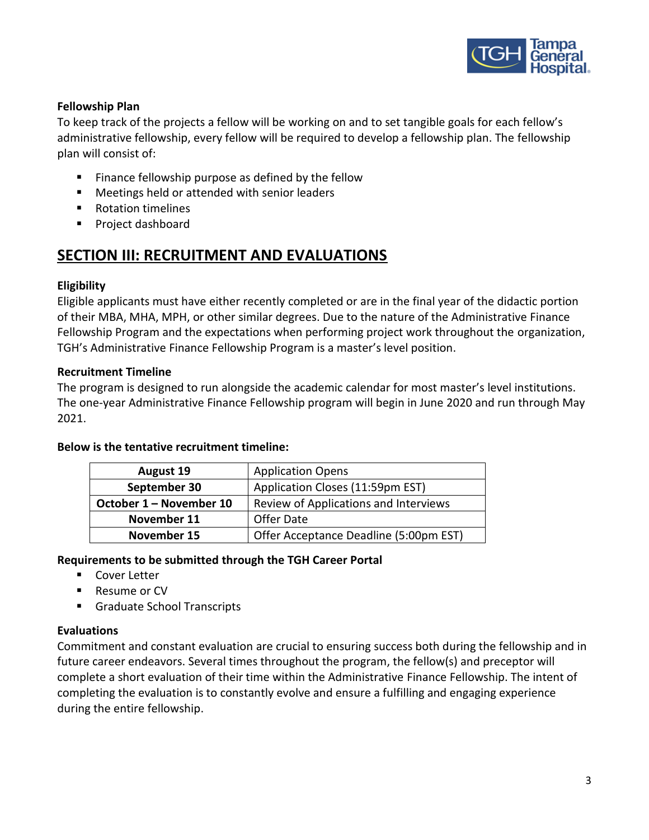

#### **Fellowship Plan**

To keep track of the projects a fellow will be working on and to set tangible goals for each fellow's administrative fellowship, every fellow will be required to develop a fellowship plan. The fellowship plan will consist of:

- Finance fellowship purpose as defined by the fellow
- Meetings held or attended with senior leaders
- Rotation timelines
- Project dashboard

# **SECTION III: RECRUITMENT AND EVALUATIONS**

#### **Eligibility**

Eligible applicants must have either recently completed or are in the final year of the didactic portion of their MBA, MHA, MPH, or other similar degrees. Due to the nature of the Administrative Finance Fellowship Program and the expectations when performing project work throughout the organization, TGH's Administrative Finance Fellowship Program is a master's level position.

#### **Recruitment Timeline**

The program is designed to run alongside the academic calendar for most master's level institutions. The one-year Administrative Finance Fellowship program will begin in June 2020 and run through May 2021.

#### **Below is the tentative recruitment timeline:**

| <b>August 19</b>        | <b>Application Opens</b>               |
|-------------------------|----------------------------------------|
| September 30            | Application Closes (11:59pm EST)       |
| October 1 – November 10 | Review of Applications and Interviews  |
| November 11             | Offer Date                             |
| November 15             | Offer Acceptance Deadline (5:00pm EST) |

#### **Requirements to be submitted through the TGH Career Portal**

- Cover Letter
- Resume or CV
- Graduate School Transcripts

#### **Evaluations**

Commitment and constant evaluation are crucial to ensuring success both during the fellowship and in future career endeavors. Several times throughout the program, the fellow(s) and preceptor will complete a short evaluation of their time within the Administrative Finance Fellowship. The intent of completing the evaluation is to constantly evolve and ensure a fulfilling and engaging experience during the entire fellowship.